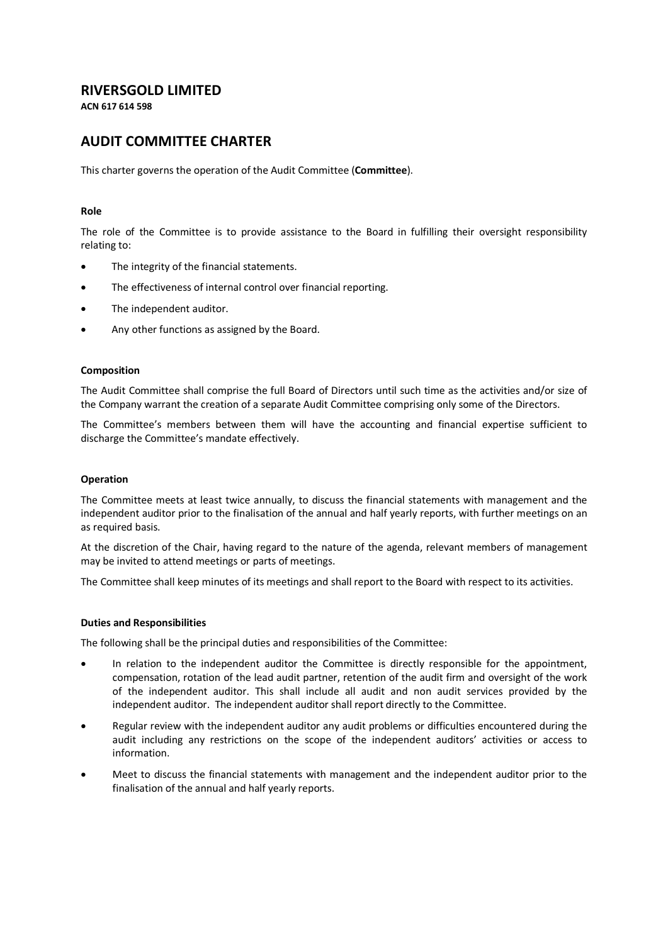## **RIVERSGOLD LIMITED**

**ACN 617 614 598**

# **AUDIT COMMITTEE CHARTER**

This charter governs the operation of the Audit Committee (**Committee**).

### **Role**

The role of the Committee is to provide assistance to the Board in fulfilling their oversight responsibility relating to:

- The integrity of the financial statements.
- The effectiveness of internal control over financial reporting.
- The independent auditor.
- Any other functions as assigned by the Board.

#### **Composition**

The Audit Committee shall comprise the full Board of Directors until such time as the activities and/or size of the Company warrant the creation of a separate Audit Committee comprising only some of the Directors.

The Committee's members between them will have the accounting and financial expertise sufficient to discharge the Committee's mandate effectively.

#### **Operation**

The Committee meets at least twice annually, to discuss the financial statements with management and the independent auditor prior to the finalisation of the annual and half yearly reports, with further meetings on an as required basis.

At the discretion of the Chair, having regard to the nature of the agenda, relevant members of management may be invited to attend meetings or parts of meetings.

The Committee shall keep minutes of its meetings and shall report to the Board with respect to its activities.

#### **Duties and Responsibilities**

The following shall be the principal duties and responsibilities of the Committee:

- In relation to the independent auditor the Committee is directly responsible for the appointment, compensation, rotation of the lead audit partner, retention of the audit firm and oversight of the work of the independent auditor. This shall include all audit and non audit services provided by the independent auditor. The independent auditor shall report directly to the Committee.
- Regular review with the independent auditor any audit problems or difficulties encountered during the audit including any restrictions on the scope of the independent auditors' activities or access to information.
- Meet to discuss the financial statements with management and the independent auditor prior to the finalisation of the annual and half yearly reports.